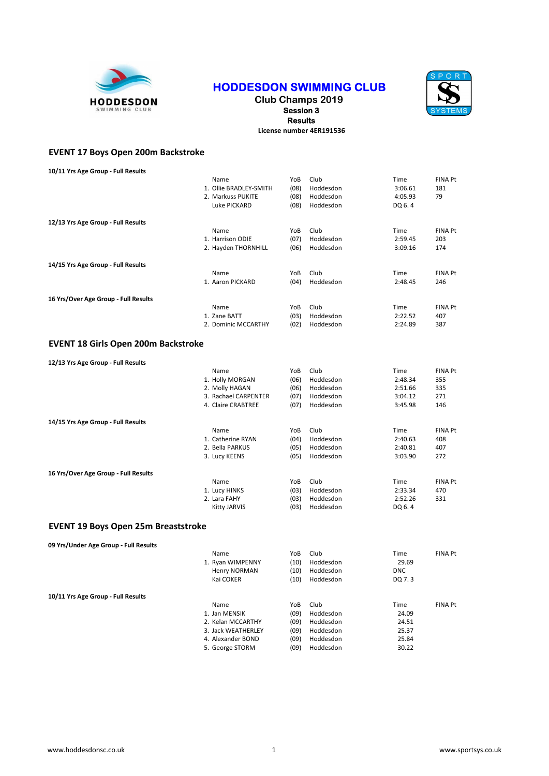

## HODDESDON SWIMMING CLUB



Club Champs 2019 Session 3 Results

License number 4ER191536

## EVENT 17 Boys Open 200m Backstroke

| 10/11 Yrs Age Group - Full Results         |                        |      |           |            |                |
|--------------------------------------------|------------------------|------|-----------|------------|----------------|
|                                            | Name                   | YoB  | Club      | Time       | FINA Pt        |
|                                            | 1. Ollie BRADLEY-SMITH | (08) | Hoddesdon | 3:06.61    | 181            |
|                                            | 2. Markuss PUKITE      | (08) | Hoddesdon | 4:05.93    | 79             |
|                                            |                        |      |           |            |                |
|                                            | Luke PICKARD           | (08) | Hoddesdon | DQ 6.4     |                |
| 12/13 Yrs Age Group - Full Results         |                        |      |           |            |                |
|                                            | Name                   | YoB  | Club      | Time       | <b>FINA Pt</b> |
|                                            | 1. Harrison ODIE       | (07) | Hoddesdon | 2:59.45    | 203            |
|                                            |                        |      |           |            |                |
|                                            | 2. Hayden THORNHILL    | (06) | Hoddesdon | 3:09.16    | 174            |
| 14/15 Yrs Age Group - Full Results         |                        |      |           |            |                |
|                                            | Name                   | YoB  | Club      | Time       | <b>FINA Pt</b> |
|                                            | 1. Aaron PICKARD       | (04) | Hoddesdon | 2:48.45    | 246            |
|                                            |                        |      |           |            |                |
| 16 Yrs/Over Age Group - Full Results       | Name                   | YoB  | Club      | Time       | <b>FINA Pt</b> |
|                                            |                        |      |           |            |                |
|                                            | 1. Zane BATT           | (03) | Hoddesdon | 2:22.52    | 407            |
|                                            | 2. Dominic MCCARTHY    | (02) | Hoddesdon | 2:24.89    | 387            |
| <b>EVENT 18 Girls Open 200m Backstroke</b> |                        |      |           |            |                |
|                                            |                        |      |           |            |                |
| 12/13 Yrs Age Group - Full Results         |                        |      |           |            |                |
|                                            | Name                   | YoB  | Club      | Time       | FINA Pt        |
|                                            | 1. Holly MORGAN        | (06) | Hoddesdon | 2:48.34    | 355            |
|                                            | 2. Molly HAGAN         | (06) | Hoddesdon | 2:51.66    | 335            |
|                                            | 3. Rachael CARPENTER   | (07) | Hoddesdon | 3:04.12    | 271            |
|                                            | 4. Claire CRABTREE     | (07) | Hoddesdon | 3:45.98    | 146            |
|                                            |                        |      |           |            |                |
| 14/15 Yrs Age Group - Full Results         |                        |      |           |            |                |
|                                            | Name                   | YoB  | Club      | Time       | <b>FINA Pt</b> |
|                                            | 1. Catherine RYAN      | (04) | Hoddesdon | 2:40.63    | 408            |
|                                            | 2. Bella PARKUS        | (05) | Hoddesdon | 2:40.81    | 407            |
|                                            | 3. Lucy KEENS          | (05) | Hoddesdon | 3:03.90    | 272            |
| 16 Yrs/Over Age Group - Full Results       |                        |      |           |            |                |
|                                            | Name                   | YoB  | Club      | Time       | <b>FINA Pt</b> |
|                                            |                        |      |           |            |                |
|                                            | 1. Lucy HINKS          | (03) | Hoddesdon | 2:33.34    | 470            |
|                                            | 2. Lara FAHY           | (03) | Hoddesdon | 2:52.26    | 331            |
|                                            | <b>Kitty JARVIS</b>    | (03) | Hoddesdon | DQ 6.4     |                |
| <b>EVENT 19 Boys Open 25m Breaststroke</b> |                        |      |           |            |                |
|                                            |                        |      |           |            |                |
| 09 Yrs/Under Age Group - Full Results      |                        |      |           |            |                |
|                                            | Name                   | YoB  | Club      | Time       | <b>FINA Pt</b> |
|                                            | 1. Ryan WIMPENNY       | (10) | Hoddesdon | 29.69      |                |
|                                            | Henry NORMAN           | (10) | Hoddesdon | <b>DNC</b> |                |
|                                            | Kai COKER              | (10) | Hoddesdon | DQ 7.3     |                |
| 10/11 Yrs Age Group - Full Results         |                        |      |           |            |                |
|                                            | Name                   | YoB  | Club      | Time       | <b>FINA Pt</b> |
|                                            |                        |      |           | 24.09      |                |
|                                            | 1. Jan MENSIK          | (09) | Hoddesdon |            |                |
|                                            | 2. Kelan MCCARTHY      | (09) | Hoddesdon | 24.51      |                |
|                                            | 3. Jack WEATHERLEY     | (09) | Hoddesdon | 25.37      |                |
|                                            | 4. Alexander BOND      | (09) | Hoddesdon | 25.84      |                |
|                                            | 5. George STORM        | (09) | Hoddesdon | 30.22      |                |